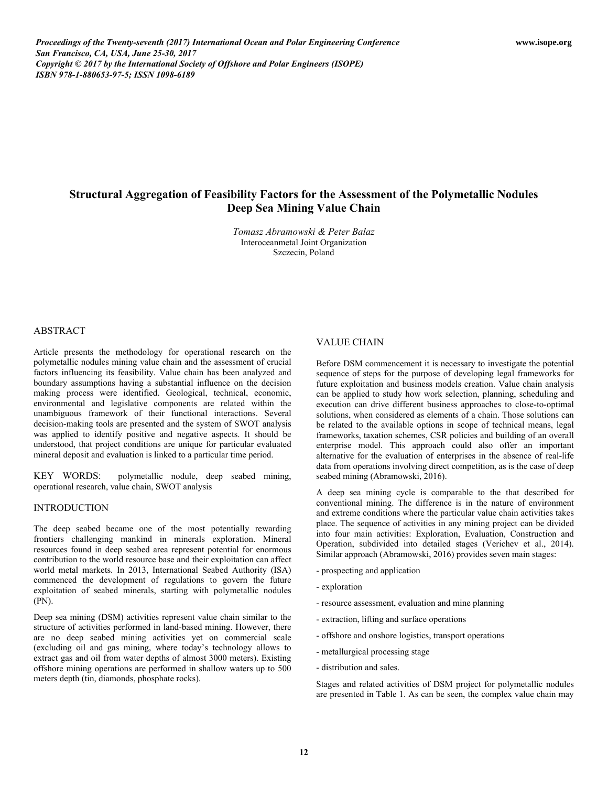*Proceedings of the Twenty-seventh (2017) International Ocean and Polar Engineering Conference San Francisco, CA, USA, June 25-30, 2017 Copyright © 2017 by the International Society of Offshore and Polar Engineers (ISOPE) ISBN 978-1-880653-97-5; ISSN 1098-6189* 

# **Structural Aggregation of Feasibility Factors for the Assessment of the Polymetallic Nodules Deep Sea Mining Value Chain**

*Tomasz Abramowski & Peter Balaz*  Interoceanmetal Joint Organization Szczecin, Poland

## ABSTRACT

Article presents the methodology for operational research on the polymetallic nodules mining value chain and the assessment of crucial factors influencing its feasibility. Value chain has been analyzed and boundary assumptions having a substantial influence on the decision making process were identified. Geological, technical, economic, environmental and legislative components are related within the unambiguous framework of their functional interactions. Several decision-making tools are presented and the system of SWOT analysis was applied to identify positive and negative aspects. It should be understood, that project conditions are unique for particular evaluated mineral deposit and evaluation is linked to a particular time period.

KEY WORDS: polymetallic nodule, deep seabed mining, operational research, value chain, SWOT analysis

#### INTRODUCTION

The deep seabed became one of the most potentially rewarding frontiers challenging mankind in minerals exploration. Mineral resources found in deep seabed area represent potential for enormous contribution to the world resource base and their exploitation can affect world metal markets. In 2013, International Seabed Authority (ISA) commenced the development of regulations to govern the future exploitation of seabed minerals, starting with polymetallic nodules (PN).

Deep sea mining (DSM) activities represent value chain similar to the structure of activities performed in land-based mining. However, there are no deep seabed mining activities yet on commercial scale (excluding oil and gas mining, where today's technology allows to extract gas and oil from water depths of almost 3000 meters). Existing offshore mining operations are performed in shallow waters up to 500 meters depth (tin, diamonds, phosphate rocks).

#### VALUE CHAIN

Before DSM commencement it is necessary to investigate the potential sequence of steps for the purpose of developing legal frameworks for future exploitation and business models creation. Value chain analysis can be applied to study how work selection, planning, scheduling and execution can drive different business approaches to close-to-optimal solutions, when considered as elements of a chain. Those solutions can be related to the available options in scope of technical means, legal frameworks, taxation schemes, CSR policies and building of an overall enterprise model. This approach could also offer an important alternative for the evaluation of enterprises in the absence of real-life data from operations involving direct competition, as is the case of deep seabed mining (Abramowski, 2016).

A deep sea mining cycle is comparable to the that described for conventional mining. The difference is in the nature of environment and extreme conditions where the particular value chain activities takes place. The sequence of activities in any mining project can be divided into four main activities: Exploration, Evaluation, Construction and Operation, subdivided into detailed stages (Verichev et al., 2014). Similar approach (Abramowski, 2016) provides seven main stages:

- prospecting and application
- exploration
- resource assessment, evaluation and mine planning
- extraction, lifting and surface operations
- offshore and onshore logistics, transport operations
- metallurgical processing stage
- distribution and sales.

Stages and related activities of DSM project for polymetallic nodules are presented in Table 1. As can be seen, the complex value chain may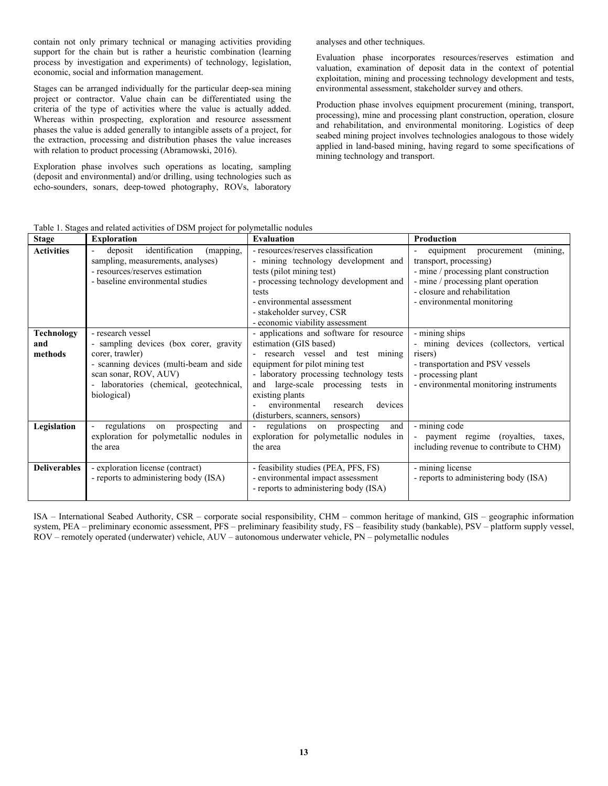contain not only primary technical or managing activities providing support for the chain but is rather a heuristic combination (learning process by investigation and experiments) of technology, legislation, economic, social and information management.

Stages can be arranged individually for the particular deep-sea mining project or contractor. Value chain can be differentiated using the criteria of the type of activities where the value is actually added. Whereas within prospecting, exploration and resource assessment phases the value is added generally to intangible assets of a project, for the extraction, processing and distribution phases the value increases with relation to product processing (Abramowski, 2016).

Exploration phase involves such operations as locating, sampling (deposit and environmental) and/or drilling, using technologies such as echo-sounders, sonars, deep-towed photography, ROVs, laboratory analyses and other techniques.

Evaluation phase incorporates resources/reserves estimation and valuation, examination of deposit data in the context of potential exploitation, mining and processing technology development and tests, environmental assessment, stakeholder survey and others.

Production phase involves equipment procurement (mining, transport, processing), mine and processing plant construction, operation, closure and rehabilitation, and environmental monitoring. Logistics of deep seabed mining project involves technologies analogous to those widely applied in land-based mining, having regard to some specifications of mining technology and transport.

| <b>Stage</b>                        | <b>Exploration</b>                                                                                                                                                                                           | <b>Evaluation</b>                                                                                                                                                                                                                                                                                                           | Production                                                                                                                                                                                                                                |  |
|-------------------------------------|--------------------------------------------------------------------------------------------------------------------------------------------------------------------------------------------------------------|-----------------------------------------------------------------------------------------------------------------------------------------------------------------------------------------------------------------------------------------------------------------------------------------------------------------------------|-------------------------------------------------------------------------------------------------------------------------------------------------------------------------------------------------------------------------------------------|--|
| <b>Activities</b>                   | identification<br>deposit<br>(mapping,<br>sampling, measurements, analyses)<br>- resources/reserves estimation<br>- baseline environmental studies                                                           | - resources/reserves classification<br>- mining technology development and<br>tests (pilot mining test)<br>- processing technology development and<br>tests<br>- environmental assessment<br>- stakeholder survey, CSR<br>- economic viability assessment                                                                   | (mining,<br>equipment<br>procurement<br>$\overline{\phantom{a}}$<br>transport, processing)<br>- mine / processing plant construction<br>- mine / processing plant operation<br>- closure and rehabilitation<br>- environmental monitoring |  |
| <b>Technology</b><br>and<br>methods | - research vessel<br>- sampling devices (box corer, gravity<br>corer, trawler)<br>- scanning devices (multi-beam and side<br>scan sonar, ROV, AUV)<br>- laboratories (chemical, geotechnical,<br>biological) | - applications and software for resource<br>estimation (GIS based)<br>- research vessel and test mining<br>equipment for pilot mining test<br>- laboratory processing technology tests<br>and large-scale processing tests in<br>existing plants<br>devices<br>environmental<br>research<br>(disturbers, scanners, sensors) | $\overline{\text{- mining}}$ ships<br>- mining devices (collectors, vertical<br>risers)<br>- transportation and PSV vessels<br>- processing plant<br>- environmental monitoring instruments                                               |  |
| Legislation                         | regulations<br>prospecting<br>on<br>and<br>exploration for polymetallic nodules in<br>the area                                                                                                               | regulations<br>on prospecting<br>and<br>exploration for polymetallic nodules in<br>the area                                                                                                                                                                                                                                 | - mining code<br>payment regime (royalties, taxes,<br>including revenue to contribute to CHM)                                                                                                                                             |  |
| <b>Deliverables</b>                 | - exploration license (contract)<br>- reports to administering body (ISA)                                                                                                                                    | - feasibility studies (PEA, PFS, FS)<br>- environmental impact assessment<br>- reports to administering body (ISA)                                                                                                                                                                                                          | - mining license<br>- reports to administering body (ISA)                                                                                                                                                                                 |  |

Table 1. Stages and related activities of DSM project for polymetallic nodules

ISA – International Seabed Authority, CSR – corporate social responsibility, CHM – common heritage of mankind, GIS – geographic information system, PEA – preliminary economic assessment, PFS – preliminary feasibility study, FS – feasibility study (bankable), PSV – platform supply vessel, ROV – remotely operated (underwater) vehicle, AUV – autonomous underwater vehicle, PN – polymetallic nodules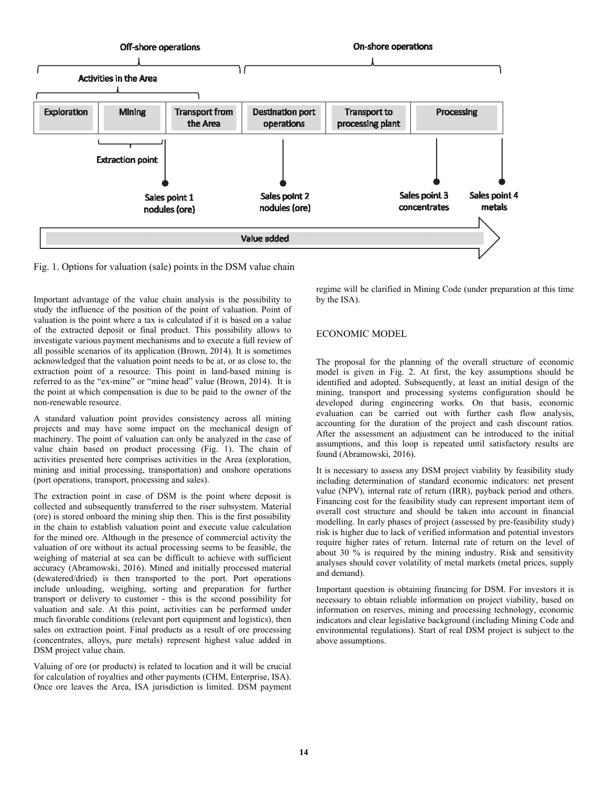

Fig. 1. Options for valuation (sale) points in the DSM value chain

Important advantage of the value chain analysis is the possibility to study the influence of the position of the point of valuation. Point of valuation is the point where a tax is calculated if it is based on a value of the extracted deposit or final product. This possibility allows to investigate various payment mechanisms and to execute a full review of all possible scenarios of its application (Brown, 2014). It is sometimes acknowledged that the valuation point needs to be at, or as close to, the extraction point of a resource. This point in land-based mining is referred to as the "ex-mine" or "mine head" value (Brown, 2014). It is the point at which compensation is due to be paid to the owner of the non-renewable resource.

A standard valuation point provides consistency across all mining projects and may have some impact on the mechanical design of machinery. The point of valuation can only be analyzed in the case of value chain based on product processing (Fig. 1). The chain of activities presented here comprises activities in the Area (exploration, mining and initial processing, transportation) and onshore operations (port operations, transport, processing and sales).

The extraction point in case of DSM is the point where deposit is collected and subsequently transferred to the riser subsystem. Material (ore) is stored onboard the mining ship then. This is the first possibility in the chain to establish valuation point and execute value calculation for the mined ore. Although in the presence of commercial activity the valuation of ore without its actual processing seems to be feasible, the weighing of material at sea can be difficult to achieve with sufficient accuracy (Abramowski, 2016). Mined and initially processed material (dewatered/dried) is then transported to the port. Port operations include unloading, weighing, sorting and preparation for further transport or delivery to customer - this is the second possibility for valuation and sale. At this point, activities can be performed under much favorable conditions (relevant port equipment and logistics), then sales on extraction point. Final products as a result of ore processing (concentrates, alloys, pure metals) represent highest value added in DSM project value chain.

Valuing of ore (or products) is related to location and it will be crucial for calculation of royalties and other payments (CHM, Enterprise, ISA). Once ore leaves the Area, ISA jurisdiction is limited. DSM payment regime will be clarified in Mining Code (under preparation at this time by the ISA).

# ECONOMIC MODEL

The proposal for the planning of the overall structure of economic model is given in Fig. 2. At first, the key assumptions should be identified and adopted. Subsequently, at least an initial design of the mining, transport and processing systems configuration should be developed during engineering works. On that basis, economic evaluation can be carried out with further cash flow analysis, accounting for the duration of the project and cash discount ratios. After the assessment an adjustment can be introduced to the initial assumptions, and this loop is repeated until satisfactory results are found (Abramowski, 2016).

It is necessary to assess any DSM project viability by feasibility study including determination of standard economic indicators: net present value (NPV), internal rate of return (IRR), payback period and others. Financing cost for the feasibility study can represent important item of overall cost structure and should be taken into account in financial modelling. In early phases of project (assessed by pre-feasibility study) risk is higher due to lack of verified information and potential investors require higher rates of return. Internal rate of return on the level of about 30 % is required by the mining industry. Risk and sensitivity analyses should cover volatility of metal markets (metal prices, supply and demand).

Important question is obtaining financing for DSM. For investors it is necessary to obtain reliable information on project viability, based on information on reserves, mining and processing technology, economic indicators and clear legislative background (including Mining Code and environmental regulations). Start of real DSM project is subject to the above assumptions.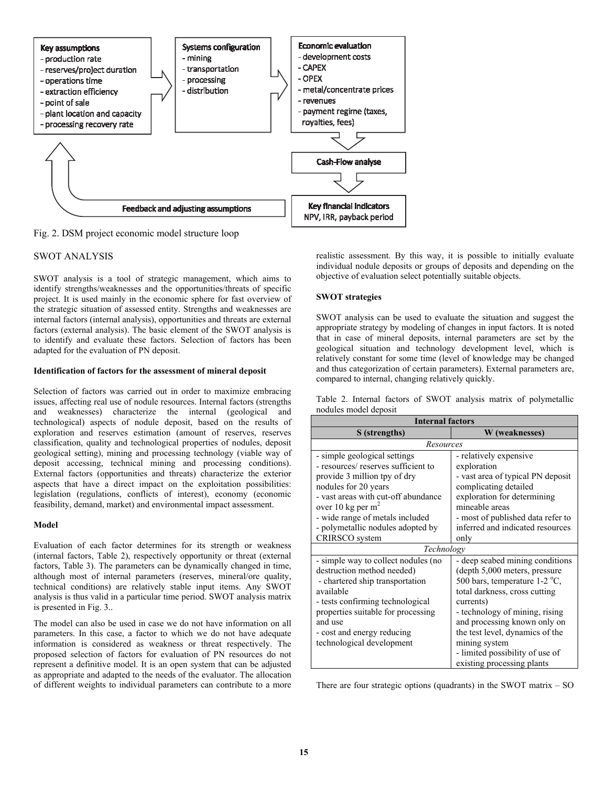

Fig. 2. DSM project economic model structure loop

# SWOT ANALYSIS

SWOT analysis is a tool of strategic management, which aims to identify strengths/weaknesses and the opportunities/threats of specific project. It is used mainly in the economic sphere for fast overview of the strategic situation of assessed entity. Strengths and weaknesses are internal factors (internal analysis), opportunities and threats are external factors (external analysis). The basic element of the SWOT analysis is to identify and evaluate these factors. Selection of factors has been adapted for the evaluation of PN deposit.

#### **Identification of factors for the assessment of mineral deposit**

Selection of factors was carried out in order to maximize embracing issues, affecting real use of nodule resources. Internal factors (strengths and weaknesses) characterize the internal (geological and technological) aspects of nodule deposit, based on the results of exploration and reserves estimation (amount of reserves, reserves classification, quality and technological properties of nodules, deposit geological setting), mining and processing technology (viable way of deposit accessing, technical mining and processing conditions). External factors (opportunities and threats) characterize the exterior aspects that have a direct impact on the exploitation possibilities: legislation (regulations, conflicts of interest), economy (economic feasibility, demand, market) and environmental impact assessment.

## **Model**

Evaluation of each factor determines for its strength or weakness (internal factors, Table 2), respectively opportunity or threat (external factors, Table 3). The parameters can be dynamically changed in time, although most of internal parameters (reserves, mineral/ore quality, technical conditions) are relatively stable input items. Any SWOT analysis is thus valid in a particular time period. SWOT analysis matrix is presented in Fig. 3..

The model can also be used in case we do not have information on all parameters. In this case, a factor to which we do not have adequate information is considered as weakness or threat respectively. The proposed selection of factors for evaluation of PN resources do not represent a definitive model. It is an open system that can be adjusted as appropriate and adapted to the needs of the evaluator. The allocation of different weights to individual parameters can contribute to a more

realistic assessment. By this way, it is possible to initially evaluate individual nodule deposits or groups of deposits and depending on the objective of evaluation select potentially suitable objects.

## **SWOT strategies**

SWOT analysis can be used to evaluate the situation and suggest the appropriate strategy by modeling of changes in input factors. It is noted that in case of mineral deposits, internal parameters are set by the geological situation and technology development level, which is relatively constant for some time (level of knowledge may be changed and thus categorization of certain parameters). External parameters are, compared to internal, changing relatively quickly.

|                       |  |  |  | Table 2. Internal factors of SWOT analysis matrix of polymetallic |
|-----------------------|--|--|--|-------------------------------------------------------------------|
| nodules model deposit |  |  |  |                                                                   |

| <b>Internal factors</b>             |                                   |  |  |  |  |
|-------------------------------------|-----------------------------------|--|--|--|--|
| S (strengths)                       | W (weaknesses)                    |  |  |  |  |
| Resources                           |                                   |  |  |  |  |
| - simple geological settings        | - relatively expensive            |  |  |  |  |
| - resources/ reserves sufficient to | exploration                       |  |  |  |  |
| provide 3 million tpy of dry        | - vast area of typical PN deposit |  |  |  |  |
| nodules for 20 years                | complicating detailed             |  |  |  |  |
| - vast areas with cut-off abundance | exploration for determining       |  |  |  |  |
| over 10 kg per m <sup>2</sup>       | mineable areas                    |  |  |  |  |
| - wide range of metals included     | - most of published data refer to |  |  |  |  |
| - polymetallic nodules adopted by   | inferred and indicated resources  |  |  |  |  |
| CRIRSCO system                      | only                              |  |  |  |  |
| Technology                          |                                   |  |  |  |  |
| - simple way to collect nodules (no | - deep seabed mining conditions   |  |  |  |  |
| destruction method needed)          | (depth 5,000 meters, pressure     |  |  |  |  |
| - chartered ship transportation     | 500 bars, temperature $1-2$ °C,   |  |  |  |  |
| available                           | total darkness, cross cutting     |  |  |  |  |
| - tests confirming technological    | currents)                         |  |  |  |  |
| properties suitable for processing  | - technology of mining, rising    |  |  |  |  |
| and use                             | and processing known only on      |  |  |  |  |
| - cost and energy reducing          | the test level, dynamics of the   |  |  |  |  |
| technological development           | mining system                     |  |  |  |  |
|                                     | - limited possibility of use of   |  |  |  |  |
|                                     | existing processing plants        |  |  |  |  |

There are four strategic options (quadrants) in the SWOT matrix  $-$  SO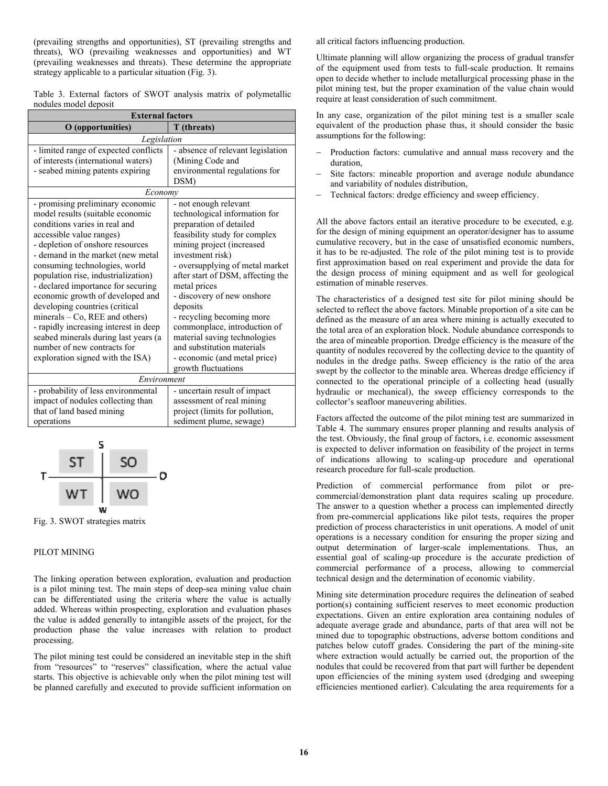(prevailing strengths and opportunities), ST (prevailing strengths and threats), WO (prevailing weaknesses and opportunities) and WT (prevailing weaknesses and threats). These determine the appropriate strategy applicable to a particular situation (Fig. 3).

|                       |  |  |  | Table 3. External factors of SWOT analysis matrix of polymetallic |
|-----------------------|--|--|--|-------------------------------------------------------------------|
| nodules model deposit |  |  |  |                                                                   |

| <b>External factors</b>               |                                   |  |  |  |  |
|---------------------------------------|-----------------------------------|--|--|--|--|
| O (opportunities)                     | T (threats)                       |  |  |  |  |
| Legislation                           |                                   |  |  |  |  |
| - limited range of expected conflicts | - absence of relevant legislation |  |  |  |  |
| of interests (international waters)   | (Mining Code and                  |  |  |  |  |
| - seabed mining patents expiring      | environmental regulations for     |  |  |  |  |
|                                       | DSM)                              |  |  |  |  |
| Economv                               |                                   |  |  |  |  |
| - promising preliminary economic      | - not enough relevant             |  |  |  |  |
| model results (suitable economic      | technological information for     |  |  |  |  |
| conditions varies in real and         | preparation of detailed           |  |  |  |  |
| accessible value ranges)              | feasibility study for complex     |  |  |  |  |
| - depletion of onshore resources      | mining project (increased         |  |  |  |  |
| - demand in the market (new metal     | investment risk)                  |  |  |  |  |
| consuming technologies, world         | - oversupplying of metal market   |  |  |  |  |
| population rise, industrialization)   | after start of DSM, affecting the |  |  |  |  |
| - declared importance for securing    | metal prices                      |  |  |  |  |
| economic growth of developed and      | - discovery of new onshore        |  |  |  |  |
| developing countries (critical        | deposits                          |  |  |  |  |
| minerals - Co, REE and others)        | - recycling becoming more         |  |  |  |  |
| - rapidly increasing interest in deep | commonplace, introduction of      |  |  |  |  |
| seabed minerals during last years (a  | material saving technologies      |  |  |  |  |
| number of new contracts for           | and substitution materials        |  |  |  |  |
| exploration signed with the ISA)      | - economic (and metal price)      |  |  |  |  |
|                                       | growth fluctuations               |  |  |  |  |
| Environment                           |                                   |  |  |  |  |
| - probability of less environmental   | - uncertain result of impact      |  |  |  |  |
| impact of nodules collecting than     | assessment of real mining         |  |  |  |  |
| that of land based mining             | project (limits for pollution,    |  |  |  |  |
| operations                            | sediment plume, sewage)           |  |  |  |  |



Fig. 3. SWOT strategies matrix

#### PILOT MINING

The linking operation between exploration, evaluation and production is a pilot mining test. The main steps of deep-sea mining value chain can be differentiated using the criteria where the value is actually added. Whereas within prospecting, exploration and evaluation phases the value is added generally to intangible assets of the project, for the production phase the value increases with relation to product processing.

The pilot mining test could be considered an inevitable step in the shift from "resources" to "reserves" classification, where the actual value starts. This objective is achievable only when the pilot mining test will be planned carefully and executed to provide sufficient information on all critical factors influencing production.

Ultimate planning will allow organizing the process of gradual transfer of the equipment used from tests to full-scale production. It remains open to decide whether to include metallurgical processing phase in the pilot mining test, but the proper examination of the value chain would require at least consideration of such commitment.

In any case, organization of the pilot mining test is a smaller scale equivalent of the production phase thus, it should consider the basic assumptions for the following:

- Production factors: cumulative and annual mass recovery and the duration,
- Site factors: mineable proportion and average nodule abundance and variability of nodules distribution,
- Technical factors: dredge efficiency and sweep efficiency.

All the above factors entail an iterative procedure to be executed, e.g. for the design of mining equipment an operator/designer has to assume cumulative recovery, but in the case of unsatisfied economic numbers, it has to be re-adjusted. The role of the pilot mining test is to provide first approximation based on real experiment and provide the data for the design process of mining equipment and as well for geological estimation of minable reserves.

The characteristics of a designed test site for pilot mining should be selected to reflect the above factors. Minable proportion of a site can be defined as the measure of an area where mining is actually executed to the total area of an exploration block. Nodule abundance corresponds to the area of mineable proportion. Dredge efficiency is the measure of the quantity of nodules recovered by the collecting device to the quantity of nodules in the dredge paths. Sweep efficiency is the ratio of the area swept by the collector to the minable area. Whereas dredge efficiency if connected to the operational principle of a collecting head (usually hydraulic or mechanical), the sweep efficiency corresponds to the collector's seafloor maneuvering abilities.

Factors affected the outcome of the pilot mining test are summarized in Table 4. The summary ensures proper planning and results analysis of the test. Obviously, the final group of factors, i.e. economic assessment is expected to deliver information on feasibility of the project in terms of indications allowing to scaling-up procedure and operational research procedure for full-scale production.

Prediction of commercial performance from pilot or precommercial/demonstration plant data requires scaling up procedure. The answer to a question whether a process can implemented directly from pre-commercial applications like pilot tests, requires the proper prediction of process characteristics in unit operations. A model of unit operations is a necessary condition for ensuring the proper sizing and output determination of larger-scale implementations. Thus, an essential goal of scaling-up procedure is the accurate prediction of commercial performance of a process, allowing to commercial technical design and the determination of economic viability.

Mining site determination procedure requires the delineation of seabed portion(s) containing sufficient reserves to meet economic production expectations. Given an entire exploration area containing nodules of adequate average grade and abundance, parts of that area will not be mined due to topographic obstructions, adverse bottom conditions and patches below cutoff grades. Considering the part of the mining-site where extraction would actually be carried out, the proportion of the nodules that could be recovered from that part will further be dependent upon efficiencies of the mining system used (dredging and sweeping efficiencies mentioned earlier). Calculating the area requirements for a